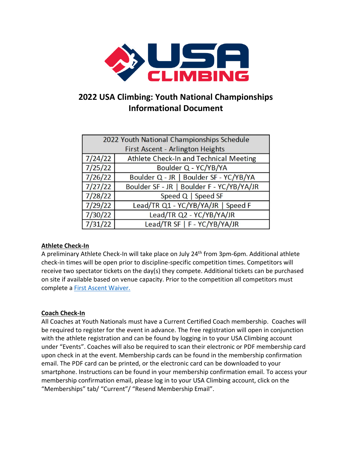

# **2022 USA Climbing: Youth National Championships Informational Document**

| 2022 Youth National Championships Schedule |                                           |
|--------------------------------------------|-------------------------------------------|
| First Ascent - Arlington Heights           |                                           |
| 7/24/22                                    | Athlete Check-In and Technical Meeting    |
| 7/25/22                                    | Boulder Q - YC/YB/YA                      |
| 7/26/22                                    | Boulder Q - JR   Boulder SF - YC/YB/YA    |
| 7/27/22                                    | Boulder SF - JR   Boulder F - YC/YB/YA/JR |
| 7/28/22                                    | Speed Q   Speed SF                        |
| 7/29/22                                    | Lead/TR Q1 - YC/YB/YA/JR   Speed F        |
| 7/30/22                                    | Lead/TR Q2 - YC/YB/YA/JR                  |
| 7/31/22                                    | Lead/TR SF   F - YC/YB/YA/JR              |

#### **Athlete Check-In**

A preliminary Athlete Check-In will take place on July 24<sup>th</sup> from 3pm-6pm. Additional athlete check-in times will be open prior to discipline-specific competition times. Competitors will receive two spectator tickets on the day(s) they compete. Additional tickets can be purchased on site if available based on venue capacity. Prior to the competition all competitors must complete a [First Ascent Waiver.](https://faclimbing.com/chicago/waiver/)

#### **Coach Check-In**

All Coaches at Youth Nationals must have a Current Certified Coach membership. Coaches will be required to register for the event in advance. The free registration will open in conjunction with the athlete registration and can be found by logging in to your USA Climbing account under "Events". Coaches will also be required to scan their electronic or PDF membership card upon check in at the event. Membership cards can be found in the membership confirmation email. The PDF card can be printed, or the electronic card can be downloaded to your smartphone. Instructions can be found in your membership confirmation email. To access your membership confirmation email, please log in to your USA Climbing account, click on the "Memberships" tab/ "Current"/ "Resend Membership Email".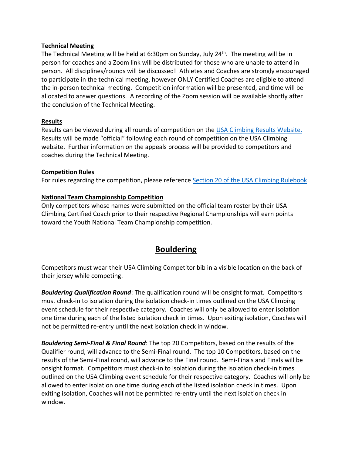#### **Technical Meeting**

The Technical Meeting will be held at 6:30pm on Sunday, July 24<sup>th</sup>. The meeting will be in person for coaches and a Zoom link will be distributed for those who are unable to attend in person. All disciplines/rounds will be discussed! Athletes and Coaches are strongly encouraged to participate in the technical meeting, however ONLY Certified Coaches are eligible to attend the in-person technical meeting. Competition information will be presented, and time will be allocated to answer questions. A recording of the Zoom session will be available shortly after the conclusion of the Technical Meeting.

#### **Results**

Results can be viewed during all rounds of competition on the [USA Climbing Results Website.](http://usacresults.org/) Results will be made "official" following each round of competition on the USA Climbing website. Further information on the appeals process will be provided to competitors and coaches during the Technical Meeting.

#### **Competition Rules**

For rules regarding the competition, please reference [Section 20 of the USA Climbing Rulebook.](https://usaclimbing.org/wp-content/uploads/2021/10/USA_Climbing_Rulebook_2021-2022_v10_202110151.pdf)

### **National Team Championship Competition**

Only competitors whose names were submitted on the official team roster by their USA Climbing Certified Coach prior to their respective Regional Championships will earn points toward the Youth National Team Championship competition.

## **Bouldering**

Competitors must wear their USA Climbing Competitor bib in a visible location on the back of their jersey while competing.

*Bouldering Qualification Round*: The qualification round will be onsight format. Competitors must check-in to isolation during the isolation check-in times outlined on the USA Climbing event schedule for their respective category. Coaches will only be allowed to enter isolation one time during each of the listed isolation check in times. Upon exiting isolation, Coaches will not be permitted re-entry until the next isolation check in window.

*Bouldering Semi-Final & Final Round*: The top 20 Competitors, based on the results of the Qualifier round, will advance to the Semi-Final round. The top 10 Competitors, based on the results of the Semi-Final round, will advance to the Final round. Semi-Finals and Finals will be onsight format. Competitors must check-in to isolation during the isolation check-in times outlined on the USA Climbing event schedule for their respective category. Coaches will only be allowed to enter isolation one time during each of the listed isolation check in times. Upon exiting isolation, Coaches will not be permitted re-entry until the next isolation check in window.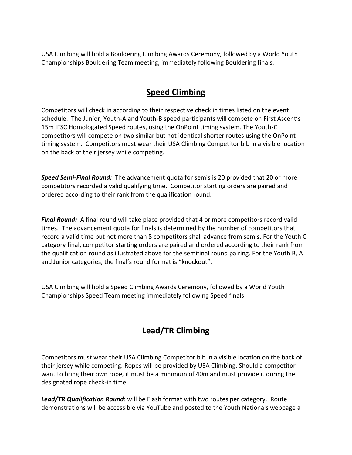USA Climbing will hold a Bouldering Climbing Awards Ceremony, followed by a World Youth Championships Bouldering Team meeting, immediately following Bouldering finals.

### **Speed Climbing**

Competitors will check in according to their respective check in times listed on the event schedule. The Junior, Youth-A and Youth-B speed participants will compete on First Ascent's 15m IFSC Homologated Speed routes, using the OnPoint timing system. The Youth-C competitors will compete on two similar but not identical shorter routes using the OnPoint timing system. Competitors must wear their USA Climbing Competitor bib in a visible location on the back of their jersey while competing.

*Speed Semi-Final Round:* The advancement quota for semis is 20 provided that 20 or more competitors recorded a valid qualifying time. Competitor starting orders are paired and ordered according to their rank from the qualification round.

*Final Round:* A final round will take place provided that 4 or more competitors record valid times. The advancement quota for finals is determined by the number of competitors that record a valid time but not more than 8 competitors shall advance from semis. For the Youth C category final, competitor starting orders are paired and ordered according to their rank from the qualification round as illustrated above for the semifinal round pairing. For the Youth B, A and Junior categories, the final's round format is "knockout".

USA Climbing will hold a Speed Climbing Awards Ceremony, followed by a World Youth Championships Speed Team meeting immediately following Speed finals.

## **Lead/TR Climbing**

Competitors must wear their USA Climbing Competitor bib in a visible location on the back of their jersey while competing. Ropes will be provided by USA Climbing. Should a competitor want to bring their own rope, it must be a minimum of 40m and must provide it during the designated rope check-in time.

*Lead/TR Qualification Round*: will be Flash format with two routes per category. Route demonstrations will be accessible via YouTube and posted to the Youth Nationals webpage a